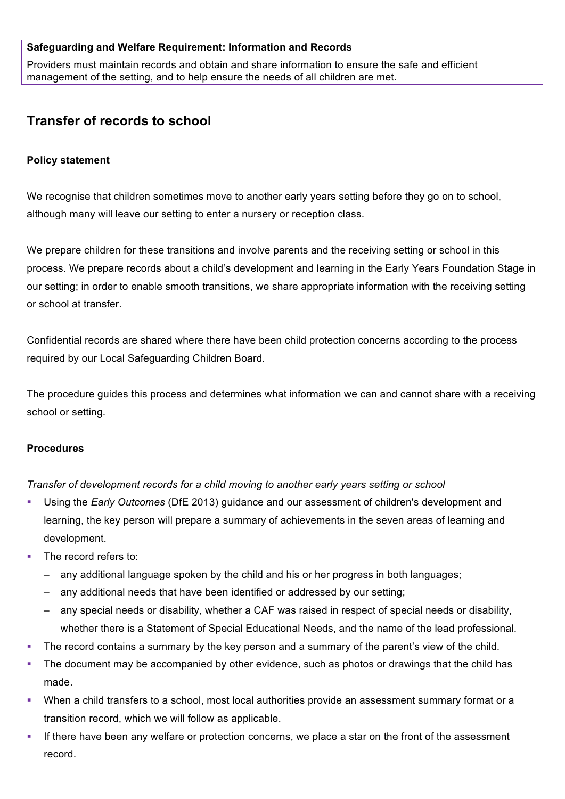#### **Safeguarding and Welfare Requirement: Information and Records**

Providers must maintain records and obtain and share information to ensure the safe and efficient management of the setting, and to help ensure the needs of all children are met.

# **Transfer of records to school**

### **Policy statement**

We recognise that children sometimes move to another early years setting before they go on to school, although many will leave our setting to enter a nursery or reception class.

We prepare children for these transitions and involve parents and the receiving setting or school in this process. We prepare records about a child's development and learning in the Early Years Foundation Stage in our setting; in order to enable smooth transitions, we share appropriate information with the receiving setting or school at transfer.

Confidential records are shared where there have been child protection concerns according to the process required by our Local Safeguarding Children Board.

The procedure guides this process and determines what information we can and cannot share with a receiving school or setting.

## **Procedures**

*Transfer of development records for a child moving to another early years setting or school*

- § Using the *Early Outcomes* (DfE 2013) guidance and our assessment of children's development and learning, the key person will prepare a summary of achievements in the seven areas of learning and development.
- The record refers to:
	- any additional language spoken by the child and his or her progress in both languages;
	- any additional needs that have been identified or addressed by our setting;
	- any special needs or disability, whether a CAF was raised in respect of special needs or disability, whether there is a Statement of Special Educational Needs, and the name of the lead professional.
- The record contains a summary by the key person and a summary of the parent's view of the child.
- The document may be accompanied by other evidence, such as photos or drawings that the child has made.
- When a child transfers to a school, most local authorities provide an assessment summary format or a transition record, which we will follow as applicable.
- If there have been any welfare or protection concerns, we place a star on the front of the assessment record.